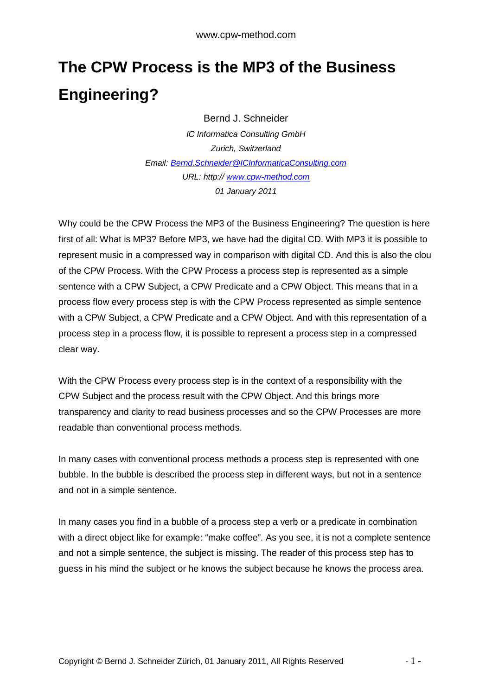## **The CPW Process is the MP3 of the Business Engineering?**

Bernd J. Schneider

*IC Informatica Consulting GmbH Zurich, Switzerland Email: [Bernd.Schneider@ICInformaticaConsulting.com](mailto:Bernd.Schneider@ICInformaticaConsulting.com) URL: http:// <www.cpw-method.com> 01 January 2011* 

Why could be the CPW Process the MP3 of the Business Engineering? The question is here first of all: What is MP3? Before MP3, we have had the digital CD. With MP3 it is possible to represent music in a compressed way in comparison with digital CD. And this is also the clou of the CPW Process. With the CPW Process a process step is represented as a simple sentence with a CPW Subject, a CPW Predicate and a CPW Object. This means that in a process flow every process step is with the CPW Process represented as simple sentence with a CPW Subject, a CPW Predicate and a CPW Object. And with this representation of a process step in a process flow, it is possible to represent a process step in a compressed clear way.

With the CPW Process every process step is in the context of a responsibility with the CPW Subject and the process result with the CPW Object. And this brings more transparency and clarity to read business processes and so the CPW Processes are more readable than conventional process methods.

In many cases with conventional process methods a process step is represented with one bubble. In the bubble is described the process step in different ways, but not in a sentence and not in a simple sentence.

In many cases you find in a bubble of a process step a verb or a predicate in combination with a direct object like for example: "make coffee". As you see, it is not a complete sentence and not a simple sentence, the subject is missing. The reader of this process step has to guess in his mind the subject or he knows the subject because he knows the process area.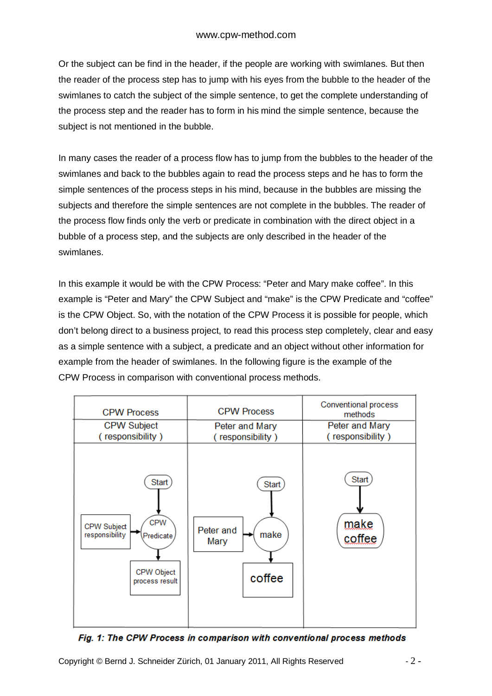Or the subject can be find in the header, if the people are working with swimlanes. But then the reader of the process step has to jump with his eyes from the bubble to the header of the swimlanes to catch the subject of the simple sentence, to get the complete understanding of the process step and the reader has to form in his mind the simple sentence, because the subject is not mentioned in the bubble.

In many cases the reader of a process flow has to jump from the bubbles to the header of the swimlanes and back to the bubbles again to read the process steps and he has to form the simple sentences of the process steps in his mind, because in the bubbles are missing the subjects and therefore the simple sentences are not complete in the bubbles. The reader of the process flow finds only the verb or predicate in combination with the direct object in a bubble of a process step, and the subjects are only described in the header of the swimlanes.

In this example it would be with the CPW Process: "Peter and Mary make coffee". In this example is "Peter and Mary" the CPW Subject and "make" is the CPW Predicate and "coffee" is the CPW Object. So, with the notation of the CPW Process it is possible for people, which don't belong direct to a business project, to read this process step completely, clear and easy as a simple sentence with a subject, a predicate and an object without other information for example from the header of swimlanes. In the following figure is the example of the CPW Process in comparison with conventional process methods.



Fig. 1: The CPW Process in comparison with conventional process methods